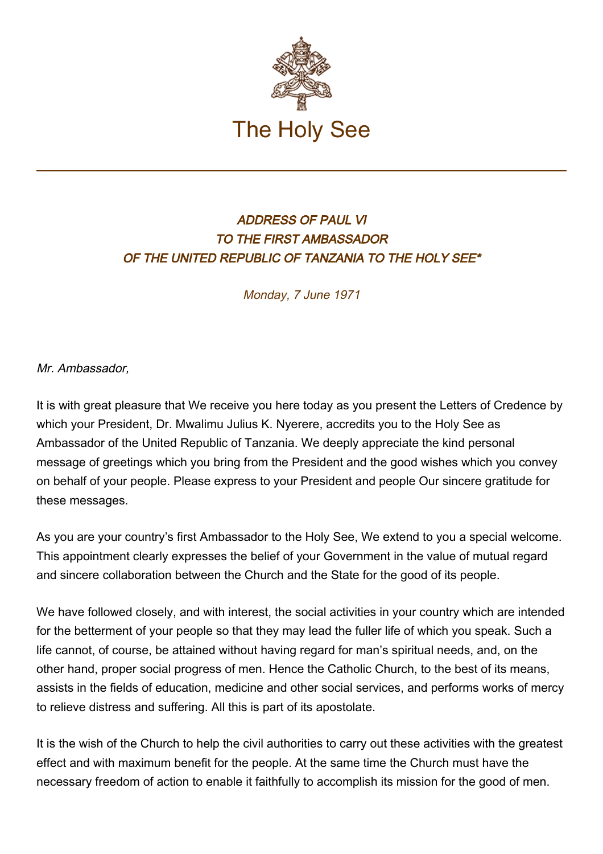

## ADDRESS OF PAUL VI TO THE FIRST AMBASSADOR OF THE UNITED REPUBLIC OF TANZANIA TO THE HOLY SEE\*

Monday, 7 June 1971

Mr. Ambassador,

It is with great pleasure that We receive you here today as you present the Letters of Credence by which your President, Dr. Mwalimu Julius K. Nyerere, accredits you to the Holy See as Ambassador of the United Republic of Tanzania. We deeply appreciate the kind personal message of greetings which you bring from the President and the good wishes which you convey on behalf of your people. Please express to your President and people Our sincere gratitude for these messages.

As you are your country's first Ambassador to the Holy See, We extend to you a special welcome. This appointment clearly expresses the belief of your Government in the value of mutual regard and sincere collaboration between the Church and the State for the good of its people.

We have followed closely, and with interest, the social activities in your country which are intended for the betterment of your people so that they may lead the fuller life of which you speak. Such a life cannot, of course, be attained without having regard for man's spiritual needs, and, on the other hand, proper social progress of men. Hence the Catholic Church, to the best of its means, assists in the fields of education, medicine and other social services, and performs works of mercy to relieve distress and suffering. All this is part of its apostolate.

It is the wish of the Church to help the civil authorities to carry out these activities with the greatest effect and with maximum benefit for the people. At the same time the Church must have the necessary freedom of action to enable it faithfully to accomplish its mission for the good of men.